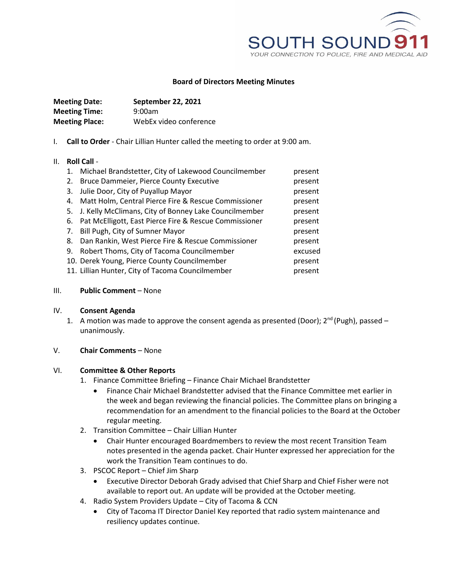

### **Board of Directors Meeting Minutes**

| <b>Meeting Date:</b>  | <b>September 22, 2021</b> |
|-----------------------|---------------------------|
| <b>Meeting Time:</b>  | 9:00am                    |
| <b>Meeting Place:</b> | WebEx video conference    |

I. **Call to Order** - Chair Lillian Hunter called the meeting to order at 9:00 am.

#### II. **Roll Call** -

| $\mathbf{1}$ . | Michael Brandstetter, City of Lakewood Councilmember     | present |
|----------------|----------------------------------------------------------|---------|
| 2.             | <b>Bruce Dammeier, Pierce County Executive</b>           | present |
| 3.             | Julie Door, City of Puyallup Mayor                       | present |
| 4.             | Matt Holm, Central Pierce Fire & Rescue Commissioner     | present |
|                | 5. J. Kelly McClimans, City of Bonney Lake Councilmember | present |
| 6.             | Pat McElligott, East Pierce Fire & Rescue Commissioner   | present |
| 7.             | Bill Pugh, City of Sumner Mayor                          | present |
| 8.             | Dan Rankin, West Pierce Fire & Rescue Commissioner       | present |
| 9.             | Robert Thoms, City of Tacoma Councilmember               | excused |
|                | 10. Derek Young, Pierce County Councilmember             | present |
|                | 11. Lillian Hunter, City of Tacoma Councilmember         | present |

#### III. **Public Comment** – None

#### IV. **Consent Agenda**

1. A motion was made to approve the consent agenda as presented (Door);  $2^{nd}$  (Pugh), passed – unanimously.

## V. **Chair Comments** – None

## VI. **Committee & Other Reports**

- 1. Finance Committee Briefing Finance Chair Michael Brandstetter
	- Finance Chair Michael Brandstetter advised that the Finance Committee met earlier in the week and began reviewing the financial policies. The Committee plans on bringing a recommendation for an amendment to the financial policies to the Board at the October regular meeting.
- 2. Transition Committee Chair Lillian Hunter
	- Chair Hunter encouraged Boardmembers to review the most recent Transition Team notes presented in the agenda packet. Chair Hunter expressed her appreciation for the work the Transition Team continues to do.
- 3. PSCOC Report Chief Jim Sharp
	- Executive Director Deborah Grady advised that Chief Sharp and Chief Fisher were not available to report out. An update will be provided at the October meeting.
- 4. Radio System Providers Update City of Tacoma & CCN
	- City of Tacoma IT Director Daniel Key reported that radio system maintenance and resiliency updates continue.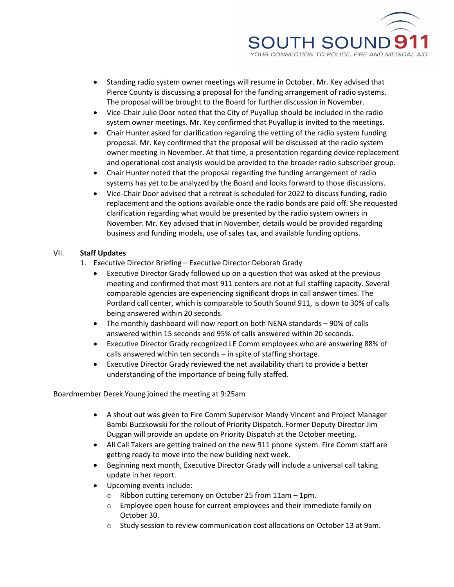

- Standing radio system owner meetings will resume in October. Mr. Key advised that Pierce County is discussing a proposal for the funding arrangement of radio systems. The proposal will be brought to the Board for further discussion in November.
- Vice-Chair Julie Door noted that the City of Puyallup should be included in the radio system owner meetings. Mr. Key confirmed that Puyallup is invited to the meetings.
- Chair Hunter asked for clarification regarding the vetting of the radio system funding proposal. Mr. Key confirmed that the proposal will be discussed at the radio system owner meeting in November. At that time, a presentation regarding device replacement and operational cost analysis would be provided to the broader radio subscriber group.
- Chair Hunter noted that the proposal regarding the funding arrangement of radio systems has yet to be analyzed by the Board and looks forward to those discussions.
- Vice-Chair Door advised that a retreat is scheduled for 2022 to discuss funding, radio replacement and the options available once the radio bonds are paid off. She requested clarification regarding what would be presented by the radio system owners in November. Mr. Key advised that in November, details would be provided regarding business and funding models, use of sales tax, and available funding options.

## VII. **Staff Updates**

- 1. Executive Director Briefing Executive Director Deborah Grady
	- Executive Director Grady followed up on a question that was asked at the previous meeting and confirmed that most 911 centers are not at full staffing capacity. Several comparable agencies are experiencing significant drops in call answer times. The Portland call center, which is comparable to South Sound 911, is down to 30% of calls being answered within 20 seconds.
	- The monthly dashboard will now report on both NENA standards 90% of calls answered within 15 seconds and 95% of calls answered within 20 seconds.
	- Executive Director Grady recognized LE Comm employees who are answering 88% of calls answered within ten seconds – in spite of staffing shortage.
	- Executive Director Grady reviewed the net availability chart to provide a better understanding of the importance of being fully staffed.

Boardmember Derek Young joined the meeting at 9:25am

- A shout out was given to Fire Comm Supervisor Mandy Vincent and Project Manager Bambi Buczkowski for the rollout of Priority Dispatch. Former Deputy Director Jim Duggan will provide an update on Priority Dispatch at the October meeting.
- All Call Takers are getting trained on the new 911 phone system. Fire Comm staff are getting ready to move into the new building next week.
- Beginning next month, Executive Director Grady will include a universal call taking update in her report.
- Upcoming events include:
	- o Ribbon cutting ceremony on October 25 from 11am 1pm.
	- o Employee open house for current employees and their immediate family on October 30.
	- o Study session to review communication cost allocations on October 13 at 9am.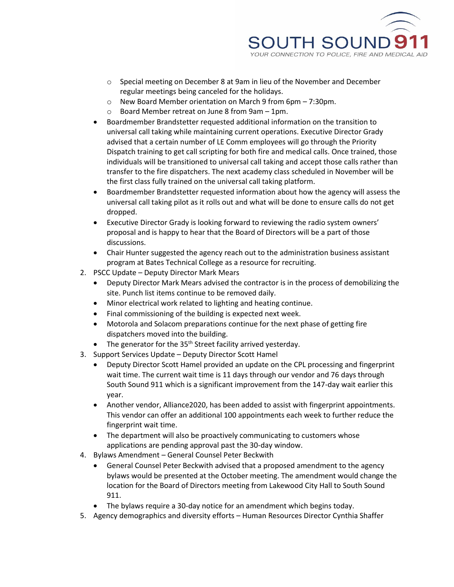

- o Special meeting on December 8 at 9am in lieu of the November and December regular meetings being canceled for the holidays.
- o New Board Member orientation on March 9 from 6pm 7:30pm.
- o Board Member retreat on June 8 from 9am 1pm.
- Boardmember Brandstetter requested additional information on the transition to universal call taking while maintaining current operations. Executive Director Grady advised that a certain number of LE Comm employees will go through the Priority Dispatch training to get call scripting for both fire and medical calls. Once trained, those individuals will be transitioned to universal call taking and accept those calls rather than transfer to the fire dispatchers. The next academy class scheduled in November will be the first class fully trained on the universal call taking platform.
- Boardmember Brandstetter requested information about how the agency will assess the universal call taking pilot as it rolls out and what will be done to ensure calls do not get dropped.
- Executive Director Grady is looking forward to reviewing the radio system owners' proposal and is happy to hear that the Board of Directors will be a part of those discussions.
- Chair Hunter suggested the agency reach out to the administration business assistant program at Bates Technical College as a resource for recruiting.
- 2. PSCC Update Deputy Director Mark Mears
	- Deputy Director Mark Mears advised the contractor is in the process of demobilizing the site. Punch list items continue to be removed daily.
	- Minor electrical work related to lighting and heating continue.
	- Final commissioning of the building is expected next week.
	- Motorola and Solacom preparations continue for the next phase of getting fire dispatchers moved into the building.
	- The generator for the 35<sup>th</sup> Street facility arrived yesterday.
- 3. Support Services Update Deputy Director Scott Hamel
	- Deputy Director Scott Hamel provided an update on the CPL processing and fingerprint wait time. The current wait time is 11 days through our vendor and 76 days through South Sound 911 which is a significant improvement from the 147-day wait earlier this year.
	- Another vendor, Alliance2020, has been added to assist with fingerprint appointments. This vendor can offer an additional 100 appointments each week to further reduce the fingerprint wait time.
	- The department will also be proactively communicating to customers whose applications are pending approval past the 30-day window.
- 4. Bylaws Amendment General Counsel Peter Beckwith
	- General Counsel Peter Beckwith advised that a proposed amendment to the agency bylaws would be presented at the October meeting. The amendment would change the location for the Board of Directors meeting from Lakewood City Hall to South Sound 911.
	- The bylaws require a 30-day notice for an amendment which begins today.
- 5. Agency demographics and diversity efforts Human Resources Director Cynthia Shaffer